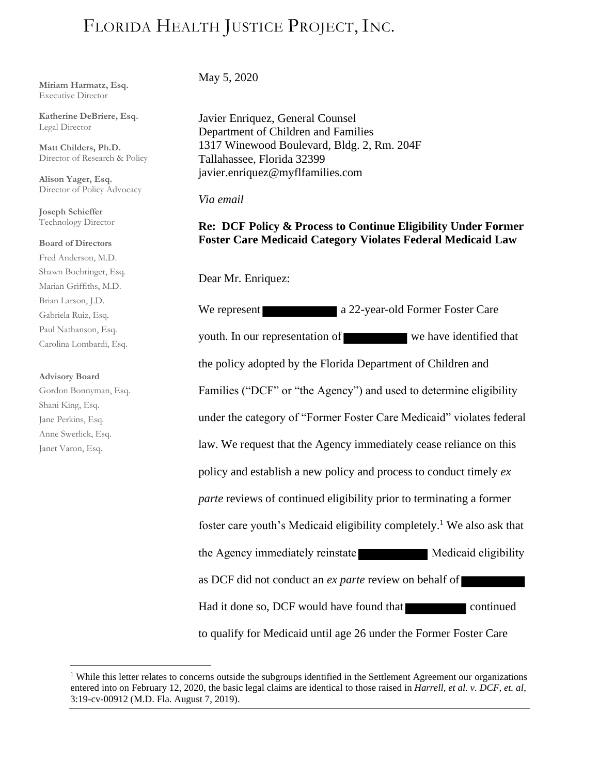# FLORIDA HEALTH JUSTICE PROJECT, INC.

**Miriam Harmatz, Esq.** Executive Director

**Katherine DeBriere, Esq.** Legal Director

**Matt Childers, Ph.D.** Director of Research & Policy

**Alison Yager, Esq.**  Director of Policy Advocacy

**Joseph Schieffer** Technology Director

### **Board of Directors**

Fred Anderson, M.D. Shawn Boehringer, Esq. Marian Griffiths, M.D. Brian Larson, J.D. Gabriela Ruiz, Esq. Paul Nathanson, Esq. Carolina Lombardi, Esq.

#### **Advisory Board**

Gordon Bonnyman, Esq. Shani King, Esq. Jane Perkins, Esq. Anne Swerlick, Esq. Janet Varon, Esq.

May 5, 2020

Javier Enriquez, General Counsel Department of Children and Families 1317 Winewood Boulevard, Bldg. 2, Rm. 204F Tallahassee, Florida 32399 javier.enriquez@myflfamilies.com

## *Via email*

## **Re: DCF Policy & Process to Continue Eligibility Under Former Foster Care Medicaid Category Violates Federal Medicaid Law**

Dear Mr. Enriquez:

We represent a 22-year-old Former Foster Care youth. In our representation of we have identified that the policy adopted by the Florida Department of Children and Families ("DCF" or "the Agency") and used to determine eligibility under the category of "Former Foster Care Medicaid" violates federal law. We request that the Agency immediately cease reliance on this policy and establish a new policy and process to conduct timely *ex parte* reviews of continued eligibility prior to terminating a former foster care youth's Medicaid eligibility completely.<sup>1</sup> We also ask that the Agency immediately reinstate Medicaid eligibility as DCF did not conduct an *ex parte* review on behalf of Had it done so, DCF would have found that continued to qualify for Medicaid until age 26 under the Former Foster Care

<sup>&</sup>lt;sup>1</sup> While this letter relates to concerns outside the subgroups identified in the Settlement Agreement our organizations entered into on February 12, 2020, the basic legal claims are identical to those raised in *Harrell, et al. v. DCF, et. al*, 3:19-cv-00912 (M.D. Fla. August 7, 2019).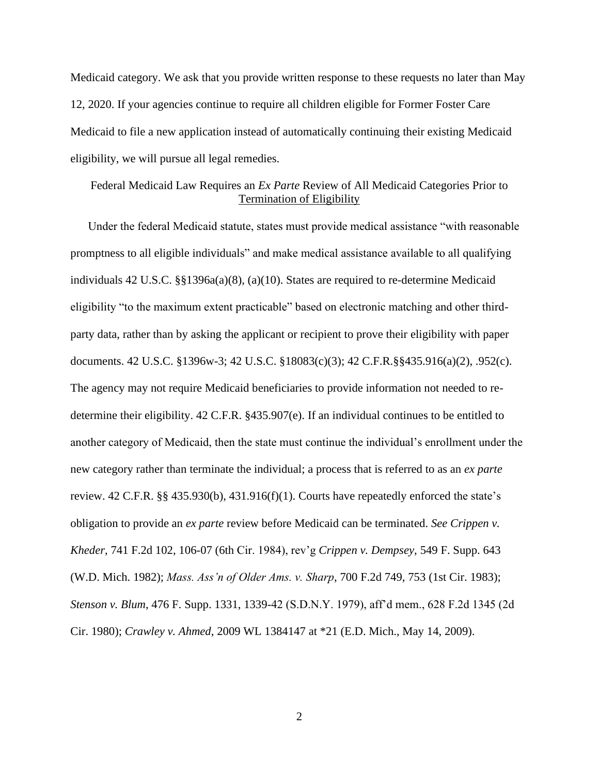Medicaid category. We ask that you provide written response to these requests no later than May 12, 2020. If your agencies continue to require all children eligible for Former Foster Care Medicaid to file a new application instead of automatically continuing their existing Medicaid eligibility, we will pursue all legal remedies.

# Federal Medicaid Law Requires an *Ex Parte* Review of All Medicaid Categories Prior to Termination of Eligibility

Under the federal Medicaid statute, states must provide medical assistance "with reasonable promptness to all eligible individuals" and make medical assistance available to all qualifying individuals 42 U.S.C. §§1396a(a)(8), (a)(10). States are required to re-determine Medicaid eligibility "to the maximum extent practicable" based on electronic matching and other thirdparty data, rather than by asking the applicant or recipient to prove their eligibility with paper documents. 42 U.S.C. §1396w-3; 42 U.S.C. §18083(c)(3); 42 C.F.R.§§435.916(a)(2), .952(c). The agency may not require Medicaid beneficiaries to provide information not needed to redetermine their eligibility. 42 C.F.R. §435.907(e). If an individual continues to be entitled to another category of Medicaid, then the state must continue the individual's enrollment under the new category rather than terminate the individual; a process that is referred to as an *ex parte* review. 42 C.F.R. §§ 435.930(b), 431.916(f)(1). Courts have repeatedly enforced the state's obligation to provide an *ex parte* review before Medicaid can be terminated. *See Crippen v. Kheder*, 741 F.2d 102, 106-07 (6th Cir. 1984), rev'g *Crippen v. Dempsey*, 549 F. Supp. 643 (W.D. Mich. 1982); *Mass. Ass'n of Older Ams. v. Sharp*, 700 F.2d 749, 753 (1st Cir. 1983); *Stenson v. Blum*, 476 F. Supp. 1331, 1339-42 (S.D.N.Y. 1979), aff'd mem., 628 F.2d 1345 (2d Cir. 1980); *Crawley v. Ahmed*, 2009 WL 1384147 at \*21 (E.D. Mich., May 14, 2009).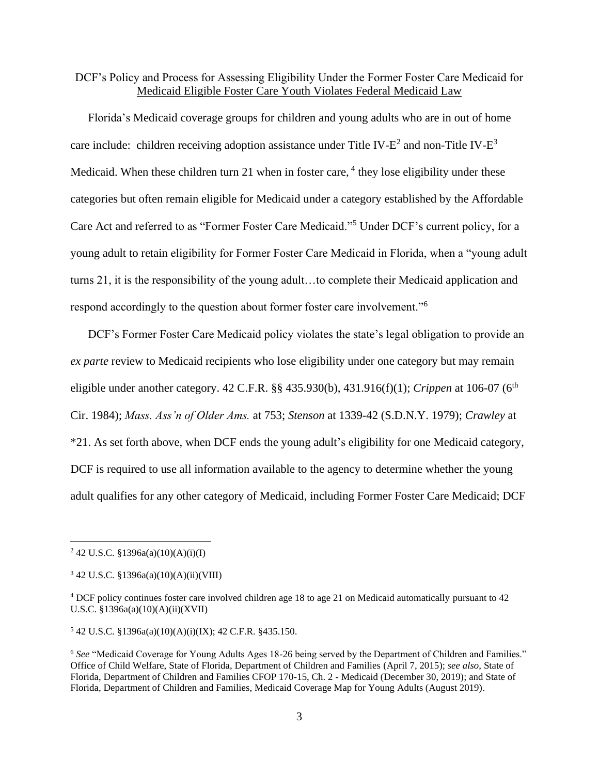DCF's Policy and Process for Assessing Eligibility Under the Former Foster Care Medicaid for Medicaid Eligible Foster Care Youth Violates Federal Medicaid Law

Florida's Medicaid coverage groups for children and young adults who are in out of home care include: children receiving adoption assistance under Title IV- $E^2$  and non-Title IV- $E^3$ Medicaid. When these children turn 21 when in foster care, <sup>4</sup> they lose eligibility under these categories but often remain eligible for Medicaid under a category established by the Affordable Care Act and referred to as "Former Foster Care Medicaid."<sup>5</sup> Under DCF's current policy, for a young adult to retain eligibility for Former Foster Care Medicaid in Florida, when a "young adult turns 21, it is the responsibility of the young adult…to complete their Medicaid application and respond accordingly to the question about former foster care involvement."<sup>6</sup>

DCF's Former Foster Care Medicaid policy violates the state's legal obligation to provide an *ex parte* review to Medicaid recipients who lose eligibility under one category but may remain eligible under another category. 42 C.F.R. §§ 435.930(b), 431.916(f)(1); *Crippen* at 106-07 (6<sup>th</sup> Cir. 1984); *Mass. Ass'n of Older Ams.* at 753; *Stenson* at 1339-42 (S.D.N.Y. 1979); *Crawley* at \*21. As set forth above, when DCF ends the young adult's eligibility for one Medicaid category, DCF is required to use all information available to the agency to determine whether the young adult qualifies for any other category of Medicaid, including Former Foster Care Medicaid; DCF

<sup>5</sup> 42 U.S.C. §1396a(a)(10)(A)(i)(IX); 42 C.F.R. §435.150.

 $2$  42 U.S.C. §1396a(a)(10)(A)(i)(I)

 $3$  42 U.S.C. §1396a(a)(10)(A)(ii)(VIII)

<sup>4</sup> DCF policy continues foster care involved children age 18 to age 21 on Medicaid automatically pursuant to 42 U.S.C. §1396a(a)(10)(A)(ii)(XVII)

<sup>6</sup> *See* "Medicaid Coverage for Young Adults Ages 18-26 being served by the Department of Children and Families." Office of Child Welfare, State of Florida, Department of Children and Families (April 7, 2015); *see also*, State of Florida, Department of Children and Families CFOP 170-15, Ch. 2 - Medicaid (December 30, 2019); and State of Florida, Department of Children and Families, Medicaid Coverage Map for Young Adults (August 2019).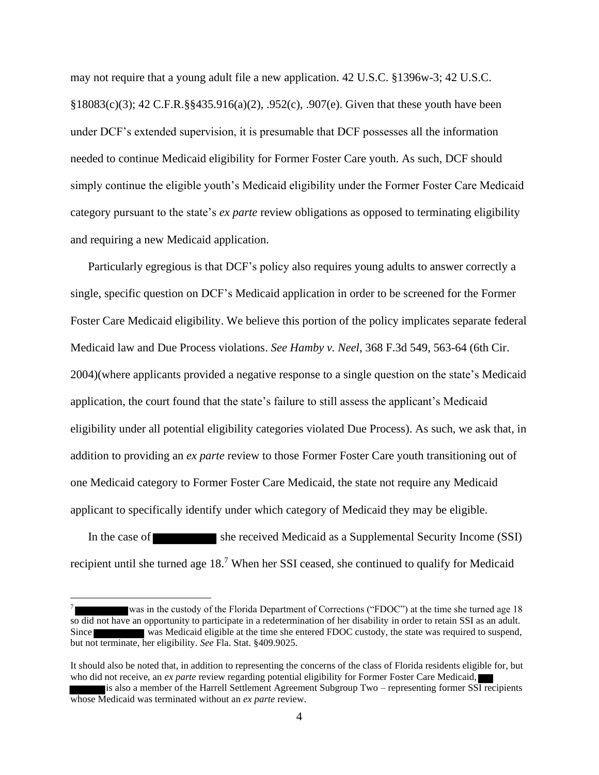may not require that a young adult file a new application. 42 U.S.C. §1396w-3; 42 U.S.C. §18083(c)(3); 42 C.F.R.§§435.916(a)(2), .952(c), .907(e). Given that these youth have been under DCF's extended supervision, it is presumable that DCF possesses all the information needed to continue Medicaid eligibility for Former Foster Care youth. As such, DCF should simply continue the eligible youth's Medicaid eligibility under the Former Foster Care Medicaid category pursuant to the state's *ex parte* review obligations as opposed to terminating eligibility and requiring a new Medicaid application.

Particularly egregious is that DCF's policy also requires young adults to answer correctly a single, specific question on DCF's Medicaid application in order to be screened for the Former Foster Care Medicaid eligibility. We believe this portion of the policy implicates separate federal Medicaid law and Due Process violations. *See Hamby v. Neel*, 368 F.3d 549, 563-64 (6th Cir. 2004)(where applicants provided a negative response to a single question on the state's Medicaid application, the court found that the state's failure to still assess the applicant's Medicaid eligibility under all potential eligibility categories violated Due Process). As such, we ask that, in addition to providing an *ex parte* review to those Former Foster Care youth transitioning out of one Medicaid category to Former Foster Care Medicaid, the state not require any Medicaid applicant to specifically identify under which category of Medicaid they may be eligible.

In the case of she received Medicaid as a Supplemental Security Income (SSI) recipient until she turned age 18.<sup>7</sup> When her SSI ceased, she continued to qualify for Medicaid

<sup>7</sup> was in the custody of the Florida Department of Corrections ("FDOC") at the time she turned age 18 so did not have an opportunity to participate in a redetermination of her disability in order to retain SSI as an adult. Since was Medicaid eligible at the time she entered FDOC custody, the state was required to suspend, but not terminate, her eligibility. *See* Fla. Stat. §409.9025.

It should also be noted that, in addition to representing the concerns of the class of Florida residents eligible for, but who did not receive, an *ex parte* review regarding potential eligibility for Former Foster Care Medicaid,

is also a member of the Harrell Settlement Agreement Subgroup Two – representing former SSI recipients whose Medicaid was terminated without an *ex parte* review.